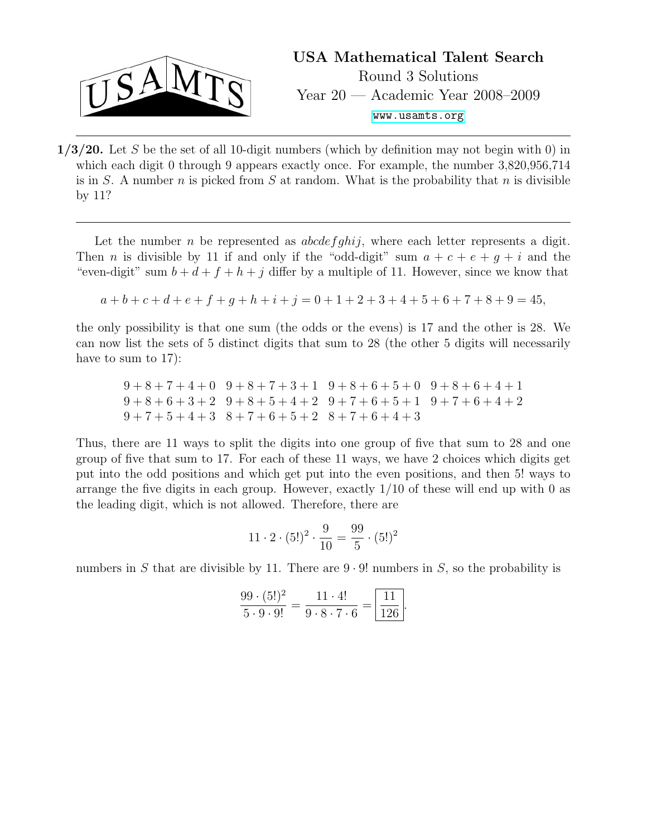

 $1/3/20$ . Let S be the set of all 10-digit numbers (which by definition may not begin with 0) in which each digit 0 through 9 appears exactly once. For example, the number 3,820,956,714 is in S. A number n is picked from S at random. What is the probability that n is divisible by 11?

Let the number n be represented as  $abcdefphi$ , where each letter represents a digit. Then *n* is divisible by 11 if and only if the "odd-digit" sum  $a + c + e + g + i$  and the "even-digit" sum  $b + d + f + h + j$  differ by a multiple of 11. However, since we know that

$$
a+b+c+d+e+f+g+h+i+j = 0+1+2+3+4+5+6+7+8+9 = 45,
$$

the only possibility is that one sum (the odds or the evens) is 17 and the other is 28. We can now list the sets of 5 distinct digits that sum to 28 (the other 5 digits will necessarily have to sum to 17):

 $9+8+7+4+0$   $9+8+7+3+1$   $9+8+6+5+0$   $9+8+6+4+1$  $9+8+6+3+2$   $9+8+5+4+2$   $9+7+6+5+1$   $9+7+6+4+2$  $9+7+5+4+3$   $8+7+6+5+2$   $8+7+6+4+3$ 

Thus, there are 11 ways to split the digits into one group of five that sum to 28 and one group of five that sum to 17. For each of these 11 ways, we have 2 choices which digits get put into the odd positions and which get put into the even positions, and then 5! ways to arrange the five digits in each group. However, exactly  $1/10$  of these will end up with 0 as the leading digit, which is not allowed. Therefore, there are

$$
11 \cdot 2 \cdot (5!)^2 \cdot \frac{9}{10} = \frac{99}{5} \cdot (5!)^2
$$

numbers in S that are divisible by 11. There are  $9 \cdot 9!$  numbers in S, so the probability is

$$
\frac{99 \cdot (5!)^2}{5 \cdot 9 \cdot 9!} = \frac{11 \cdot 4!}{9 \cdot 8 \cdot 7 \cdot 6} = \boxed{\frac{11}{126}}.
$$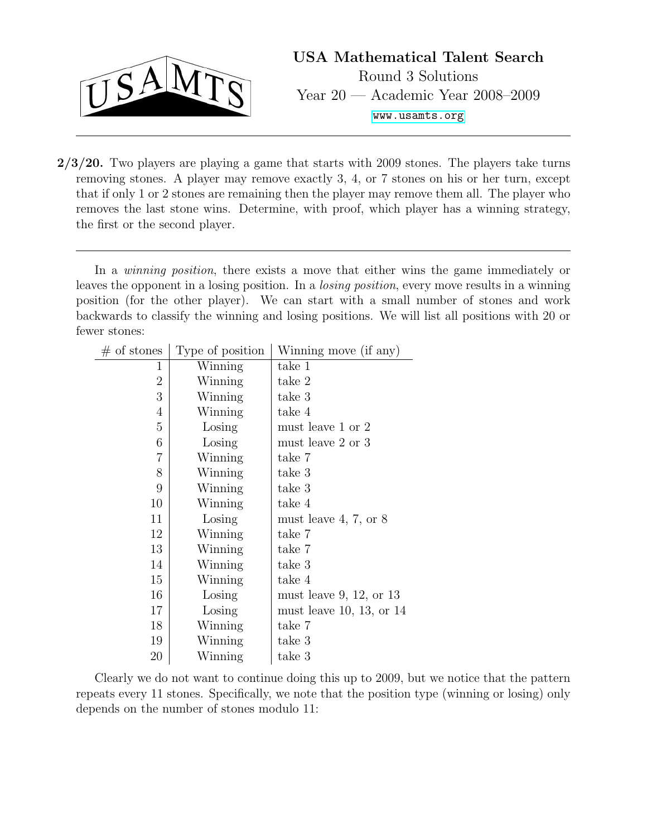

USA Mathematical Talent Search Round 3 Solutions Year 20 — Academic Year 2008–2009 <www.usamts.org>

 $2/3/20$ . Two players are playing a game that starts with 2009 stones. The players take turns removing stones. A player may remove exactly 3, 4, or 7 stones on his or her turn, except that if only 1 or 2 stones are remaining then the player may remove them all. The player who removes the last stone wins. Determine, with proof, which player has a winning strategy, the first or the second player.

position (for the other player). We can start with a small number of stones and work In a *winning position*, there exists a move that either wins the game immediately or leaves the opponent in a losing position. In a losing position, every move results in a winning backwards to classify the winning and losing positions. We will list all positions with 20 or fewer stones:

| $#$ of stones  | Type of position | Winning move (if any)              |
|----------------|------------------|------------------------------------|
| 1              | Winning          | take 1                             |
| $\overline{2}$ | Winning          | take 2                             |
| 3              | Winning          | take 3                             |
| $\overline{4}$ | Winning          | take 4                             |
| $\overline{5}$ | Losing           | must leave 1 or 2                  |
| 6              | Losing           | must leave 2 or 3                  |
| $\overline{7}$ | Winning          | take 7                             |
| 8              | Winning          | take 3                             |
| 9              | Winning          | take 3                             |
| 10             | Winning          | take 4                             |
| 11             | Losing           | must leave $4, 7, \text{ or } 8$   |
| 12             | Winning          | take 7                             |
| 13             | Winning          | take 7                             |
| 14             | Winning          | take 3                             |
| 15             | Winning          | take 4                             |
| 16             | Losing           | must leave $9, 12, \text{ or } 13$ |
| 17             | Losing           | must leave 10, 13, or $14$         |
| 18             | Winning          | take 7                             |
| 19             | Winning          | take 3                             |
| 20             | Winning          | take 3                             |

Clearly we do not want to continue doing this up to 2009, but we notice that the pattern repeats every 11 stones. Specifically, we note that the position type (winning or losing) only depends on the number of stones modulo 11: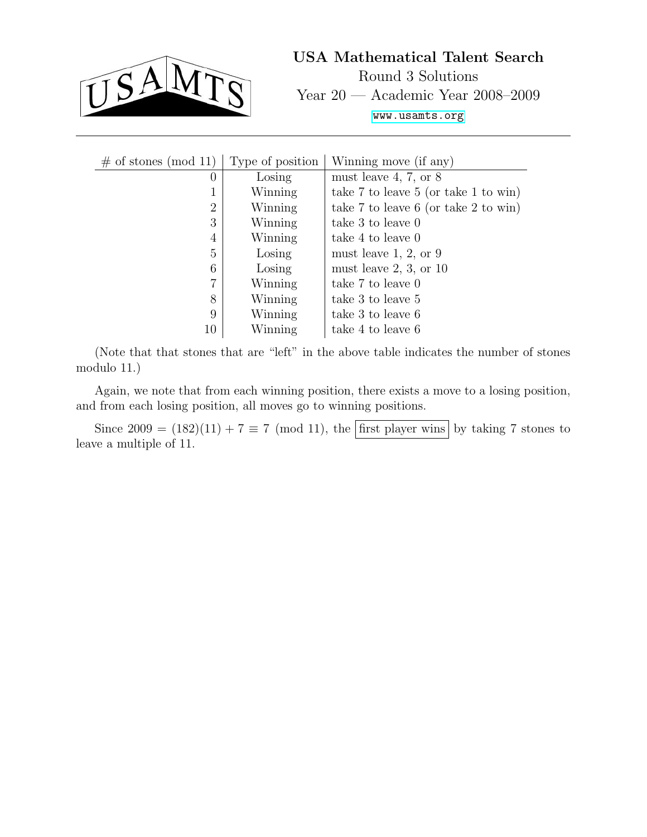

USA Mathematical Talent Search Round 3 Solutions Year 20 — Academic Year 2008–2009 <www.usamts.org>

| $\#$ of stones (mod 11) | Type of position | Winning move (if any)                      |
|-------------------------|------------------|--------------------------------------------|
| $\theta$                | Losing           | must leave 4, 7, or $8$                    |
| ⊥                       | Winning          | take $7$ to leave $5$ (or take $1$ to win) |
| $\overline{2}$          | Winning          | take 7 to leave 6 (or take 2 to win)       |
| 3                       | Winning          | take 3 to leave 0                          |
| 4                       | Winning          | take 4 to leave 0                          |
| 5                       | Losing           | must leave $1, 2, \text{or } 9$            |
| 6                       | Losing           | must leave $2, 3$ , or $10$                |
| 7                       | Winning          | take 7 to leave 0                          |
| 8                       | Winning          | take 3 to leave 5                          |
| 9                       | Winning          | take 3 to leave 6                          |
| 10                      | Winning          | take 4 to leave 6                          |

(Note that that stones that are "left" in the above table indicates the number of stones modulo 11.)

Again, we note that from each winning position, there exists a move to a losing position, and from each losing position, all moves go to winning positions.

Since  $2009 = (182)(11) + 7 \equiv 7 \pmod{11}$ , the first player wins by taking 7 stones to leave a multiple of 11.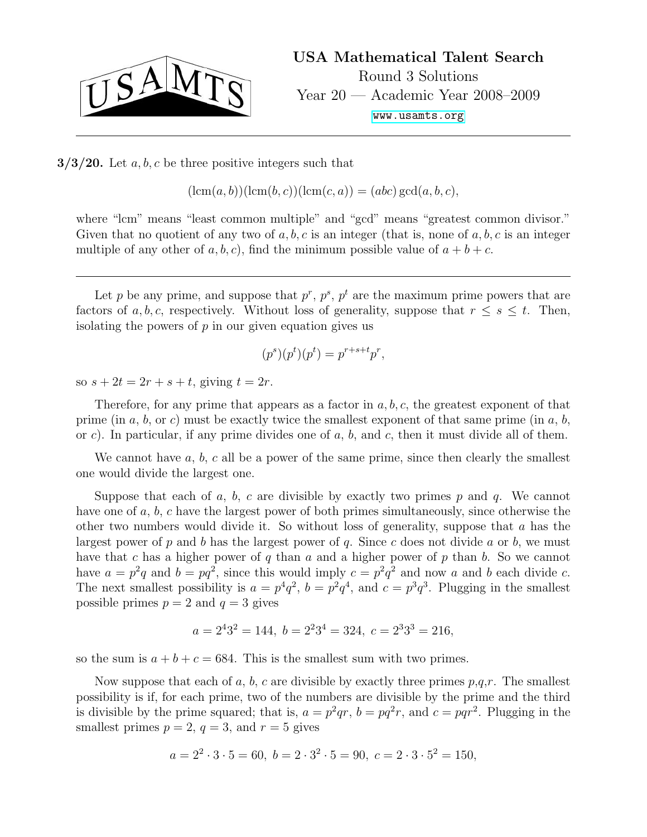

 $3/3/20$ . Let a, b, c be three positive integers such that

 $(\text{lcm}(a, b))(\text{lcm}(b, c))(\text{lcm}(c, a)) = (abc) \text{gcd}(a, b, c),$ 

where "lcm" means "least common multiple" and "gcd" means "greatest common divisor." Given that no quotient of any two of  $a, b, c$  is an integer (that is, none of  $a, b, c$  is an integer multiple of any other of a, b, c), find the minimum possible value of  $a + b + c$ .

Let p be any prime, and suppose that  $p^r$ ,  $p^s$ ,  $p^t$  are the maximum prime powers that are factors of a, b, c, respectively. Without loss of generality, suppose that  $r \leq s \leq t$ . Then, isolating the powers of  $p$  in our given equation gives us

$$
(p^s)(p^t)(p^t) = p^{r+s+t}p^r,
$$

so  $s + 2t = 2r + s + t$ , giving  $t = 2r$ .

Therefore, for any prime that appears as a factor in  $a, b, c$ , the greatest exponent of that prime (in a, b, or c) must be exactly twice the smallest exponent of that same prime (in a, b, or c). In particular, if any prime divides one of  $a, b$ , and  $c$ , then it must divide all of them.

We cannot have  $a, b, c$  all be a power of the same prime, since then clearly the smallest one would divide the largest one.

Suppose that each of a, b, c are divisible by exactly two primes p and q. We cannot have one of a, b, c have the largest power of both primes simultaneously, since otherwise the other two numbers would divide it. So without loss of generality, suppose that a has the largest power of p and b has the largest power of q. Since c does not divide a or b, we must have that c has a higher power of q than  $a$  and a higher power of  $p$  than  $b$ . So we cannot have  $a = p^2q$  and  $b = pq^2$ , since this would imply  $c = p^2q^2$  and now a and b each divide c. The next smallest possibility is  $a = p^4q^2$ ,  $b = p^2q^4$ , and  $c = p^3q^3$ . Plugging in the smallest possible primes  $p = 2$  and  $q = 3$  gives

$$
a = 2432 = 144
$$
,  $b = 2234 = 324$ ,  $c = 2333 = 216$ ,

so the sum is  $a + b + c = 684$ . This is the smallest sum with two primes.

Now suppose that each of a, b, c are divisible by exactly three primes  $p,q,r$ . The smallest possibility is if, for each prime, two of the numbers are divisible by the prime and the third is divisible by the prime squared; that is,  $a = p^2qr$ ,  $b = pq^2r$ , and  $c = pqr^2$ . Plugging in the smallest primes  $p = 2$ ,  $q = 3$ , and  $r = 5$  gives

$$
a = 22 \cdot 3 \cdot 5 = 60, \ b = 2 \cdot 32 \cdot 5 = 90, \ c = 2 \cdot 3 \cdot 52 = 150,
$$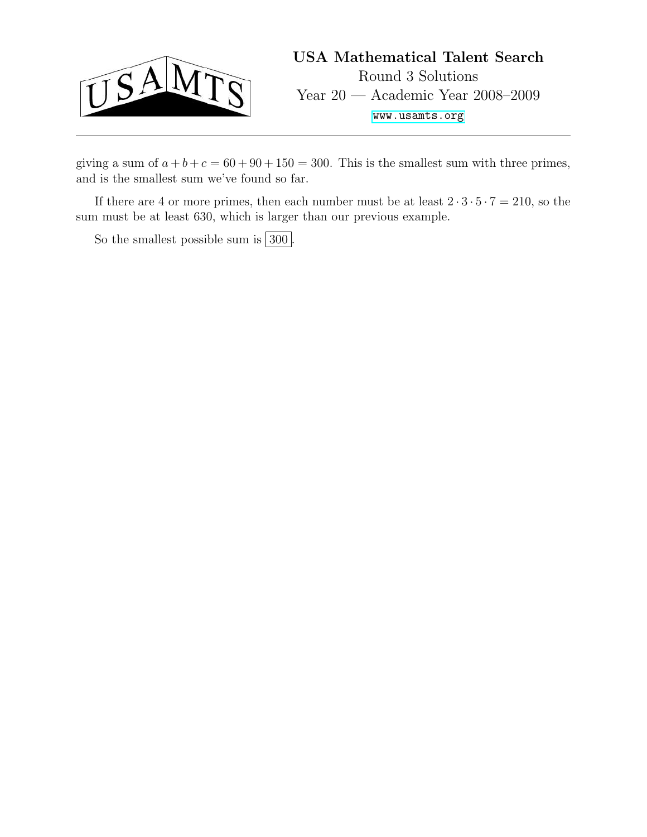

giving a sum of  $a + b + c = 60 + 90 + 150 = 300$ . This is the smallest sum with three primes, and is the smallest sum we've found so far.

If there are 4 or more primes, then each number must be at least  $2 \cdot 3 \cdot 5 \cdot 7 = 210$ , so the sum must be at least 630, which is larger than our previous example.

So the smallest possible sum is  $300$ .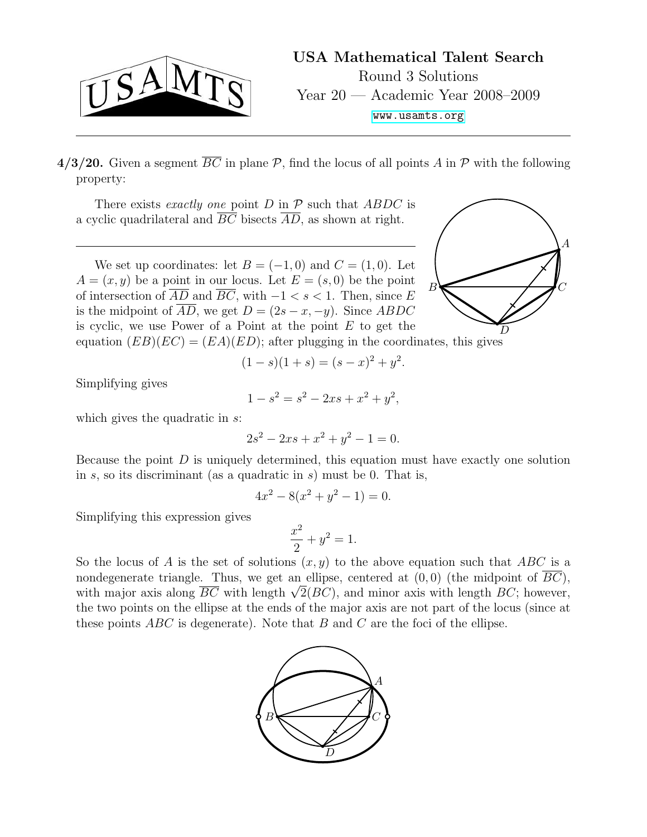

4/3/20. Given a segment  $\overline{BC}$  in plane P, find the locus of all points A in P with the following property:

There exists exactly one point D in  $P$  such that ABDC is a cyclic quadrilateral and  $\overline{BC}$  bisects  $\overline{AD}$ , as shown at right.

of intersection of  $\overline{AD}$  and  $\overline{BC}$ , with  $-1 < s < 1$ . Then, since E We set up coordinates: let  $B = (-1,0)$  and  $C = (1,0)$ . Let  $A = (x, y)$  be a point in our locus. Let  $E = (s, 0)$  be the point is the midpoint of  $\overline{AD}$ , we get  $D = (2s - x, -y)$ . Since ABDC is cyclic, we use Power of a Point at the point  $E$  to get the

$$
\sum_{B}
$$

equation  $(EB)(EC) = (EA)(ED)$ ; after plugging in the coordinates, this gives

$$
(1 - s)(1 + s) = (s - x)^2 + y^2.
$$

Simplifying gives

$$
1 - s^2 = s^2 - 2xs + x^2 + y^2,
$$

which gives the quadratic in s:

$$
2s^2 - 2xs + x^2 + y^2 - 1 = 0.
$$

Because the point  $D$  is uniquely determined, this equation must have exactly one solution in  $s$ , so its discriminant (as a quadratic in  $s$ ) must be 0. That is,

$$
4x^2 - 8(x^2 + y^2 - 1) = 0.
$$

Simplifying this expression gives

$$
\frac{x^2}{2} + y^2 = 1.
$$

So the locus of A is the set of solutions  $(x, y)$  to the above equation such that ABC is a nondegenerate triangle. Thus, we get an ellipse, centered at  $(0, 0)$  (the midpoint of  $BC$ ), nondegenerate triangle. Thus, we get an ellipse, centered at  $(0,0)$  (the midpoint of  $BC$ ),<br>with major axis along  $\overline{BC}$  with length  $\sqrt{2}(BC)$ , and minor axis with length  $BC$ ; however, the two points on the ellipse at the ends of the major axis are not part of the locus (since at these points  $ABC$  is degenerate). Note that B and C are the foci of the ellipse.

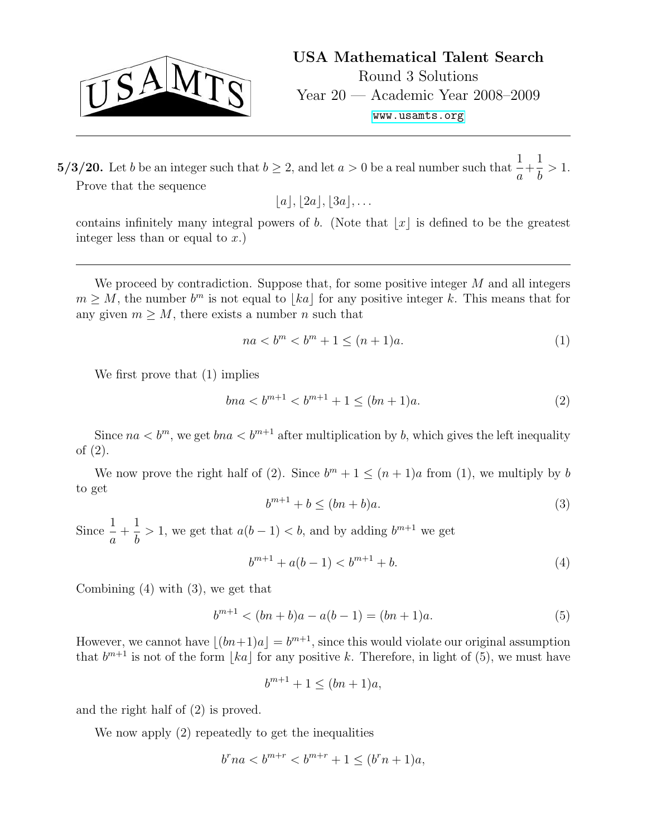

 $5/3/20$ . Let b be an integer such that  $b \geq 2$ , and let  $a > 0$  be a real number such that  $\frac{1}{a}$ a  $+$ 1 b  $> 1$ . Prove that the sequence

 $|a|, |2a|, |3a|, \ldots$ 

contains infinitely many integral powers of b. (Note that  $|x|$  is defined to be the greatest integer less than or equal to  $x$ .)

 $m \geq M$ , the number  $b^m$  is not equal to  $\lfloor ka \rfloor$  for any positive integer k. This means that for We proceed by contradiction. Suppose that, for some positive integer  $M$  and all integers any given  $m > M$ , there exists a number *n* such that

$$
na < bm < bm + 1 \le (n + 1)a.
$$
 (1)

We first prove that (1) implies

$$
bna < b^{m+1} < b^{m+1} + 1 \le (bn + 1)a.
$$
\n(2)

Since  $na < b^m$ , we get  $bna < b^{m+1}$  after multiplication by b, which gives the left inequality of (2).

We now prove the right half of (2). Since  $b^m + 1 \leq (n+1)a$  from (1), we multiply by b to get

$$
b^{m+1} + b \le (bn + b)a. \tag{3}
$$

Since  $\frac{1}{1}$ a  $+$ 1 b > 1, we get that  $a(b-1) < b$ , and by adding  $b^{m+1}$  we get

$$
b^{m+1} + a(b-1) < b^{m+1} + b. \tag{4}
$$

Combining (4) with (3), we get that

$$
b^{m+1} < (bn+b)a - a(b-1) = (bn+1)a. \tag{5}
$$

However, we cannot have  $|(bn+1)a| = b^{m+1}$ , since this would violate our original assumption that  $b^{m+1}$  is not of the form  $\lfloor ka \rfloor$  for any positive k. Therefore, in light of (5), we must have

 $b^{m+1} + 1 \leq (bn + 1)a$ ,

and the right half of (2) is proved.

We now apply (2) repeatedly to get the inequalities

$$
b^{r}na < b^{m+r} < b^{m+r} + 1 \leq (b^{r}n + 1)a,
$$